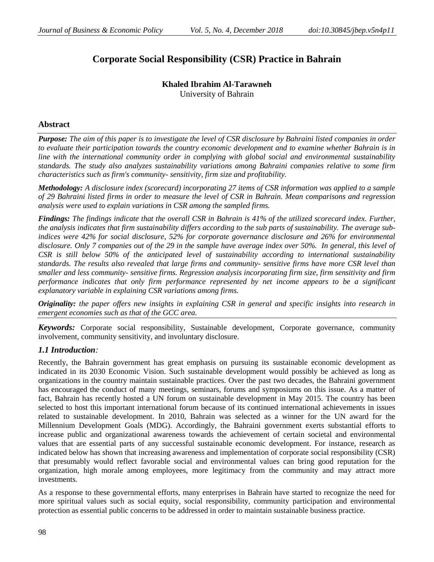# **Corporate Social Responsibility (CSR) Practice in Bahrain**

# **Khaled Ibrahim Al-Tarawneh** University of Bahrain

# **Abstract**

*Purpose: The aim of this paper is to investigate the level of CSR disclosure by Bahraini listed companies in order to evaluate their participation towards the country economic development and to examine whether Bahrain is in line with the international community order in complying with global social and environmental sustainability standards. The study also analyzes sustainability variations among Bahraini companies relative to some firm characteristics such as firm's community- sensitivity, firm size and profitability.*

*Methodology: A disclosure index (scorecard) incorporating 27 items of CSR information was applied to a sample of 29 Bahraini listed firms in order to measure the level of CSR in Bahrain. Mean comparisons and regression analysis were used to explain variations in CSR among the sampled firms.* 

*Findings: The findings indicate that the overall CSR in Bahrain is 41% of the utilized scorecard index. Further, the analysis indicates that firm sustainability differs according to the sub parts of sustainability. The average subindices were 42% for social disclosure, 52% for corporate governance disclosure and 26% for environmental disclosure. Only 7 companies out of the 29 in the sample have average index over 50%. In general, this level of CSR is still below 50% of the anticipated level of sustainability according to international sustainability standards. The results also revealed that large firms and community- sensitive firms have more CSR level than smaller and less community- sensitive firms. Regression analysis incorporating firm size, firm sensitivity and firm performance indicates that only firm performance represented by net income appears to be a significant explanatory variable in explaining CSR variations among firms.*

*Originality: the paper offers new insights in explaining CSR in general and specific insights into research in emergent economies such as that of the GCC area.*

*Keywords:* Corporate social responsibility, Sustainable development, Corporate governance, community involvement, community sensitivity, and involuntary disclosure.

## *1.1 Introduction:*

Recently, the Bahrain government has great emphasis on pursuing its sustainable economic development as indicated in its 2030 Economic Vision. Such sustainable development would possibly be achieved as long as organizations in the country maintain sustainable practices. Over the past two decades, the Bahraini government has encouraged the conduct of many meetings, seminars, forums and symposiums on this issue. As a matter of fact, Bahrain has recently hosted a UN forum on sustainable development in May 2015. The country has been selected to host this important international forum because of its continued international achievements in issues related to sustainable development. In 2010, Bahrain was selected as a winner for the UN award for the Millennium Development Goals (MDG). Accordingly, the Bahraini government exerts substantial efforts to increase public and organizational awareness towards the achievement of certain societal and environmental values that are essential parts of any successful sustainable economic development. For instance, research as indicated below has shown that increasing awareness and implementation of corporate social responsibility (CSR) that presumably would reflect favorable social and environmental values can bring good reputation for the organization, high morale among employees, more legitimacy from the community and may attract more investments.

As a response to these governmental efforts, many enterprises in Bahrain have started to recognize the need for more spiritual values such as social equity, social responsibility, community participation and environmental protection as essential public concerns to be addressed in order to maintain sustainable business practice.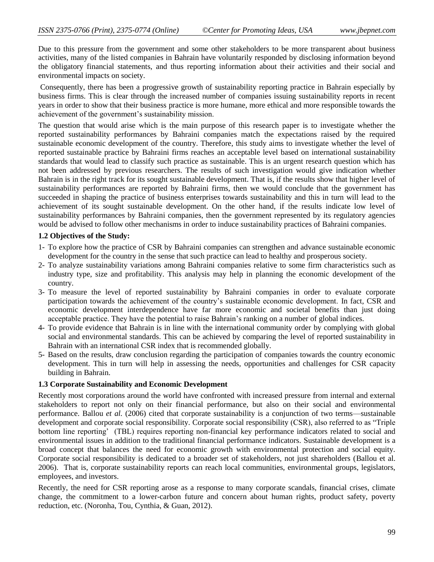Due to this pressure from the government and some other stakeholders to be more transparent about business activities, many of the listed companies in Bahrain have voluntarily responded by disclosing information beyond the obligatory financial statements, and thus reporting information about their activities and their social and environmental impacts on society.

Consequently, there has been a progressive growth of sustainability reporting practice in Bahrain especially by business firms. This is clear through the increased number of companies issuing sustainability reports in recent years in order to show that their business practice is more humane, more ethical and more responsible towards the achievement of the government's sustainability mission.

The question that would arise which is the main purpose of this research paper is to investigate whether the reported sustainability performances by Bahraini companies match the expectations raised by the required sustainable economic development of the country. Therefore, this study aims to investigate whether the level of reported sustainable practice by Bahraini firms reaches an acceptable level based on international sustainability standards that would lead to classify such practice as sustainable. This is an urgent research question which has not been addressed by previous researchers. The results of such investigation would give indication whether Bahrain is in the right track for its sought sustainable development. That is, if the results show that higher level of sustainability performances are reported by Bahraini firms, then we would conclude that the government has succeeded in shaping the practice of business enterprises towards sustainability and this in turn will lead to the achievement of its sought sustainable development. On the other hand, if the results indicate low level of sustainability performances by Bahraini companies, then the government represented by its regulatory agencies would be advised to follow other mechanisms in order to induce sustainability practices of Bahraini companies.

#### **1.2 Objectives of the Study:**

- 1- To explore how the practice of CSR by Bahraini companies can strengthen and advance sustainable economic development for the country in the sense that such practice can lead to healthy and prosperous society.
- 2- To analyze sustainability variations among Bahraini companies relative to some firm characteristics such as industry type, size and profitability. This analysis may help in planning the economic development of the country.
- 3- To measure the level of reported sustainability by Bahraini companies in order to evaluate corporate participation towards the achievement of the country's sustainable economic development. In fact, CSR and economic development interdependence have far more economic and societal benefits than just doing acceptable practice. They have the potential to raise Bahrain's ranking on a number of global indices.
- 4- To provide evidence that Bahrain is in line with the international community order by complying with global social and environmental standards. This can be achieved by comparing the level of reported sustainability in Bahrain with an international CSR index that is recommended globally.
- 5- Based on the results, draw conclusion regarding the participation of companies towards the country economic development. This in turn will help in assessing the needs, opportunities and challenges for CSR capacity building in Bahrain.

#### **1.3 Corporate Sustainability and Economic Development**

Recently most corporations around the world have confronted with increased pressure from internal and external stakeholders to report not only on their financial performance, but also on their social and environmental performance. Ballou *et al.* (2006) cited that corporate sustainability is a conjunction of two terms—sustainable development and corporate social responsibility. Corporate social responsibility (CSR), also referred to as "Triple bottom line reporting' (TBL) requires reporting non-financial key performance indicators related to social and environmental issues in addition to the traditional financial performance indicators. Sustainable development is a broad concept that balances the need for economic growth with environmental protection and social equity. Corporate social responsibility is dedicated to a broader set of stakeholders, not just shareholders (Ballou et al. 2006). That is, corporate sustainability reports can reach local communities, environmental groups, legislators, employees, and investors.

Recently, the need for CSR reporting arose as a response to many corporate scandals, financial crises, climate change, the commitment to a lower-carbon future and concern about human rights, product safety, poverty reduction, etc. (Noronha, Tou, Cynthia, & Guan, 2012).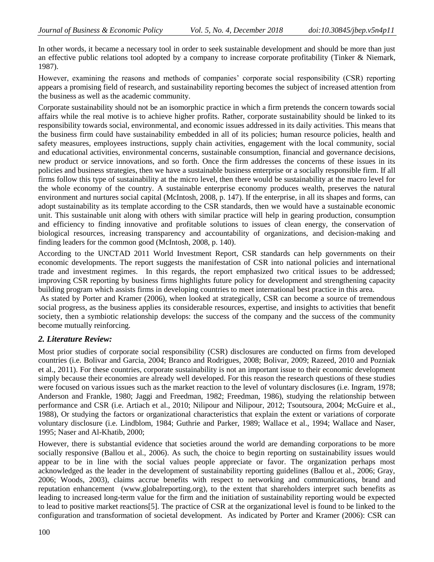In other words, it became a necessary tool in order to seek sustainable development and should be more than just an effective public relations tool adopted by a company to increase corporate profitability (Tinker & Niemark, 1987).

However, examining the reasons and methods of companies' corporate social responsibility (CSR) reporting appears a promising field of research, and sustainability reporting becomes the subject of increased attention from the business as well as the academic community.

Corporate sustainability should not be an isomorphic practice in which a firm pretends the concern towards social affairs while the real motive is to achieve higher profits. Rather, corporate sustainability should be linked to its responsibility towards social, environmental, and economic issues addressed in its daily activities. This means that the business firm could have sustainability embedded in all of its policies; human resource policies, health and safety measures, employees instructions, supply chain activities, engagement with the local community, social and educational activities, environmental concerns, sustainable consumption, financial and governance decisions, new product or service innovations, and so forth. Once the firm addresses the concerns of these issues in its policies and business strategies, then we have a sustainable business enterprise or a socially responsible firm. If all firms follow this type of sustainability at the micro level, then there would be sustainability at the macro level for the whole economy of the country. A sustainable enterprise economy produces wealth, preserves the natural environment and nurtures social capital (McIntosh, 2008, p. 147). If the enterprise, in all its shapes and forms, can adopt sustainability as its template according to the CSR standards, then we would have a sustainable economic unit. This sustainable unit along with others with similar practice will help in gearing production, consumption and efficiency to finding innovative and profitable solutions to issues of clean energy, the conservation of biological resources, increasing transparency and accountability of organizations, and decision-making and finding leaders for the common good (McIntosh, 2008, p. 140).

According to the UNCTAD 2011 World Investment Report, CSR standards can help governments on their economic developments. The report suggests the manifestation of CSR into national policies and international trade and investment regimes. In this regards, the report emphasized two critical issues to be addressed; improving CSR reporting by business firms highlights future policy for development and strengthening capacity building program which assists firms in developing countries to meet international best practice in this area.

As stated by Porter and Kramer (2006), when looked at strategically, CSR can become a source of tremendous social progress, as the business applies its considerable resources, expertise, and insights to activities that benefit society, then a symbiotic relationship develops: the success of the company and the success of the community become mutually reinforcing.

## *2. Literature Review:*

Most prior studies of corporate social responsibility (CSR) disclosures are conducted on firms from developed countries (i.e. Bolivar and Garcia, 2004; Branco and Rodrigues, 2008; Bolivar, 2009; Razeed, 2010 and Pozniak et al., 2011). For these countries, corporate sustainability is not an important issue to their economic development simply because their economies are already well developed. For this reason the research questions of these studies were focused on various issues such as the market reaction to the level of voluntary disclosures (i.e. Ingram, 1978; Anderson and Frankle, 1980; Jaggi and Freedman, 1982; Freedman, 1986), studying the relationship between performance and CSR (i.e. Artiach et al., 2010; Nilipour and Nilipour, 2012; Tsoutsoura, 2004; McGuire et al., 1988), Or studying the factors or organizational characteristics that explain the extent or variations of corporate voluntary disclosure (i.e. Lindblom, 1984; Guthrie and Parker, 1989; Wallace et al., 1994; Wallace and Naser, 1995; Naser and Al-Khatib, 2000;

However, there is substantial evidence that societies around the world are demanding corporations to be more socially responsive (Ballou et al., 2006). As such, the choice to begin reporting on sustainability issues would appear to be in line with the social values people appreciate or favor. The organization perhaps most acknowledged as the leader in the development of sustainability reporting guidelines (Ballou et al., 2006; Gray, 2006; Woods, 2003), claims accrue benefits with respect to networking and communications, brand and reputation enhancement [\(www.globalreporting.org\)](http://www.globalreporting.org/), to the extent that shareholders interpret such benefits as leading to increased long-term value for the firm and the initiation of sustainability reporting would be expected to lead to positive market reactions[5]. The practice of CSR at the organizational level is found to be linked to the configuration and transformation of societal development. As indicated by Porter and Kramer (2006): CSR can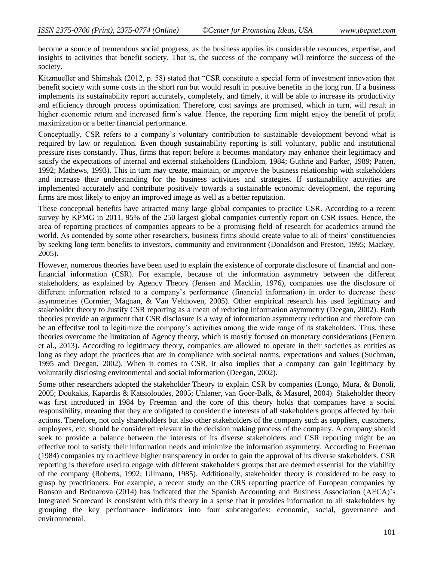become a source of tremendous social progress, as the business applies its considerable resources, expertise, and insights to activities that benefit society. That is, the success of the company will reinforce the success of the society.

Kitzmueller and Shimshak (2012, p. 58) stated that "CSR constitute a special form of investment innovation that benefit society with some costs in the short run but would result in positive benefits in the long run. If a business implements its sustainability report accurately, completely, and timely, it will be able to increase its productivity and efficiency through process optimization. Therefore, cost savings are promised, which in turn, will result in higher economic return and increased firm's value. Hence, the reporting firm might enjoy the benefit of profit maximization or a better financial performance.

Conceptually, CSR refers to a company's voluntary contribution to sustainable development beyond what is required by law or regulation. Even though sustainability reporting is still voluntary, public and institutional pressure rises constantly. Thus, firms that report before it becomes mandatory may enhance their legitimacy and satisfy the expectations of internal and external stakeholders (Lindblom, 1984; Guthrie and Parker, 1989; Patten, 1992; Mathews, 1993). This in turn may create, maintain, or improve the business relationship with stakeholders and increase their understanding for the business activities and strategies. If sustainability activities are implemented accurately and contribute positively towards a sustainable economic development, the reporting firms are most likely to enjoy an improved image as well as a better reputation.

These conceptual benefits have attracted many large global companies to practice CSR. According to a recent survey by KPMG in 2011, 95% of the 250 largest global companies currently report on CSR issues. Hence, the area of reporting practices of companies appears to be a promising field of research for academics around the world. As contended by some other researchers, business firms should create value to all of theirs' constituencies by seeking long term benefits to investors, community and environment (Donaldson and Preston, 1995; Mackey, 2005).

However, numerous theories have been used to explain the existence of corporate disclosure of financial and nonfinancial information (CSR). For example, because of the information asymmetry between the different stakeholders, as explained by Agency Theory (Jensen and Macklin, 1976), companies use the disclosure of different information related to a company's performance (financial information) in order to decrease these asymmetries (Cormier, Magnan, & Van Velthoven, 2005). Other empirical research has used legitimacy and stakeholder theory to Justify CSR reporting as a mean of reducing information asymmetry (Deegan, 2002). Both theories provide an argument that CSR disclosure is a way of information asymmetry reduction and therefore can be an effective tool to legitimize the company's activities among the wide range of its stakeholders. Thus, these theories overcome the limitation of Agency theory, which is mostly focused on monetary considerations (Ferrero et al., 2013). According to legitimacy theory, companies are allowed to operate in their societies as entities as long as they adopt the practices that are in compliance with societal norms, expectations and values (Suchman, 1995 and Deegan, 2002). When it comes to CSR, it also implies that a company can gain legitimacy by voluntarily disclosing environmental and social information (Deegan, 2002).

Some other researchers adopted the stakeholder Theory to explain CSR by companies (Longo, Mura, & Bonoli, 2005; Doukakis, Kapardis & Katsioloudes, 2005; Uhlaner, van Goor-Balk, & Masurel, 2004). Stakeholder theory was first introduced in 1984 by Freeman and the core of this theory holds that companies have a social responsibility, meaning that they are obligated to consider the interests of all stakeholders groups affected by their actions. Therefore, not only shareholders but also other stakeholders of the company such as suppliers, customers, employees, etc. should be considered relevant in the decision making process of the company. A company should seek to provide a balance between the interests of its diverse stakeholders and CSR reporting might be an effective tool to satisfy their information needs and minimize the information asymmetry. According to Freeman (1984) companies try to achieve higher transparency in order to gain the approval of its diverse stakeholders. CSR reporting is therefore used to engage with different stakeholders groups that are deemed essential for the viability of the company (Roberts, 1992; Ullmann, 1985). Additionally, stakeholder theory is considered to be easy to grasp by practitioners. For example, a recent study on the CRS reporting practice of European companies by Bonson and Bednarova (2014) has indicated that the Spanish Accounting and Business Association (AECA)'s Integrated Scorecard is consistent with this theory in a sense that it provides information to all stakeholders by grouping the key performance indicators into four subcategories: economic, social, governance and environmental.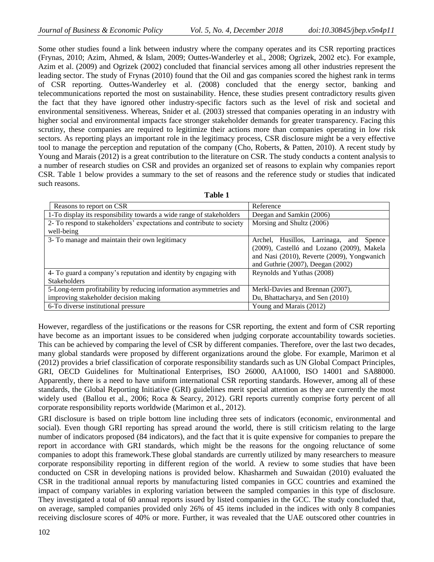Some other studies found a link between industry where the company operates and its CSR reporting practices (Frynas, 2010; Azim, Ahmed, & Islam, 2009; Outtes-Wanderley et al., 2008; Ogrizek, 2002 etc). For example, Azim et al. (2009) and Ogrizek (2002) concluded that financial services among all other industries represent the leading sector. The study of Frynas (2010) found that the Oil and gas companies scored the highest rank in terms of CSR reporting. Outtes-Wanderley et al. (2008) concluded that the energy sector, banking and telecommunications reported the most on sustainability. Hence, these studies present contradictory results given the fact that they have ignored other industry-specific factors such as the level of risk and societal and environmental sensitiveness. Whereas, Snider et al. (2003) stressed that companies operating in an industry with higher social and environmental impacts face stronger stakeholder demands for greater transparency. Facing this scrutiny, these companies are required to legitimize their actions more than companies operating in low risk sectors. As reporting plays an important role in the legitimacy process, CSR disclosure might be a very effective tool to manage the perception and reputation of the company (Cho, Roberts, & Patten, 2010). A recent study by Young and Marais (2012) is a great contribution to the literature on CSR. The study conducts a content analysis to a number of research studies on CSR and provides an organized set of reasons to explain why companies report CSR. Table 1 below provides a summary to the set of reasons and the reference study or studies that indicated such reasons.

| ۰,<br>×<br>i |  |  |
|--------------|--|--|
|--------------|--|--|

| Reasons to report on CSR                                              | Reference                                   |
|-----------------------------------------------------------------------|---------------------------------------------|
| 1-To display its responsibility towards a wide range of stakeholders  | Deegan and Samkin (2006)                    |
| 2- To respond to stakeholders' expectations and contribute to society | Morsing and Shultz (2006)                   |
| well-being                                                            |                                             |
| 3- To manage and maintain their own legitimacy                        | Archel, Husillos, Larrinaga, and<br>Spence  |
|                                                                       | (2009), Castelló and Lozano (2009), Makela  |
|                                                                       | and Nasi (2010), Reverte (2009), Yongwanich |
|                                                                       | and Guthrie (2007), Deegan (2002)           |
| 4- To guard a company's reputation and identity by engaging with      | Reynolds and Yuthas (2008)                  |
| <b>Stakeholders</b>                                                   |                                             |
| 5-Long-term profitability by reducing information asymmetries and     | Merkl-Davies and Brennan (2007),            |
| improving stakeholder decision making                                 | Du, Bhattacharya, and Sen (2010)            |
| 6-To diverse institutional pressure                                   | Young and Marais (2012)                     |

However, regardless of the justifications or the reasons for CSR reporting, the extent and form of CSR reporting have become as an important issues to be considered when judging corporate accountability towards societies. This can be achieved by comparing the level of CSR by different companies. Therefore, over the last two decades, many global standards were proposed by different organizations around the globe. For example, Marimon et al (2012) provides a brief classification of corporate responsibility standards such as UN Global Compact Principles, GRI, OECD Guidelines for Multinational Enterprises, ISO 26000, AA1000, ISO 14001 and SA88000. Apparently, there is a need to have uniform international CSR reporting standards. However, among all of these standards, the Global Reporting Initiative (GRI) guidelines merit special attention as they are currently the most widely used (Ballou et al., 2006; Roca & Searcy, 2012). GRI reports currently comprise forty percent of all corporate responsibility reports worldwide (Marimon et al., 2012).

GRI disclosure is based on triple bottom line including three sets of indicators (economic, environmental and social). Even though GRI reporting has spread around the world, there is still criticism relating to the large number of indicators proposed (84 indicators), and the fact that it is quite expensive for companies to prepare the report in accordance with GRI standards, which might be the reasons for the ongoing reluctance of some companies to adopt this framework.These global standards are currently utilized by many researchers to measure corporate responsibility reporting in different region of the world. A review to some studies that have been conducted on CSR in developing nations is provided below. Khasharmeh and Suwaidan (2010) evaluated the CSR in the traditional annual reports by manufacturing listed companies in GCC countries and examined the impact of company variables in exploring variation between the sampled companies in this type of disclosure. They investigated a total of 60 annual reports issued by listed companies in the GCC. The study concluded that, on average, sampled companies provided only 26% of 45 items included in the indices with only 8 companies receiving disclosure scores of 40% or more. Further, it was revealed that the UAE outscored other countries in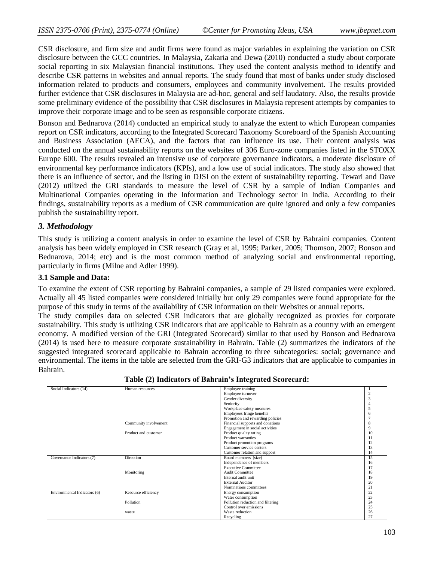CSR disclosure, and firm size and audit firms were found as major variables in explaining the variation on CSR disclosure between the GCC countries. In Malaysia, Zakaria and Dewa (2010) conducted a study about corporate social reporting in six Malaysian financial institutions. They used the content analysis method to identify and describe CSR patterns in websites and annual reports. The study found that most of banks under study disclosed information related to products and consumers, employees and community involvement. The results provided further evidence that CSR disclosures in Malaysia are ad-hoc, general and self laudatory. Also, the results provide some preliminary evidence of the possibility that CSR disclosures in Malaysia represent attempts by companies to improve their corporate image and to be seen as responsible corporate citizens.

Bonson and Bednarova (2014) conducted an empirical study to analyze the extent to which European companies report on CSR indicators, according to the Integrated Scorecard Taxonomy Scoreboard of the Spanish Accounting and Business Association (AECA), and the factors that can influence its use. Their content analysis was conducted on the annual sustainability reports on the websites of 306 Euro-zone companies listed in the STOXX Europe 600. The results revealed an intensive use of corporate governance indicators, a moderate disclosure of environmental key performance indicators (KPIs), and a low use of social indicators. The study also showed that there is an influence of sector, and the listing in DJSI on the extent of sustainability reporting. Tewari and Dave (2012) utilized the GRI standards to measure the level of CSR by a sample of Indian Companies and Multinational Companies operating in the Information and Technology sector in India. According to their findings, sustainability reports as a medium of CSR communication are quite ignored and only a few companies publish the sustainability report.

# *3. Methodology*

This study is utilizing a content analysis in order to examine the level of CSR by Bahraini companies. Content analysis has been widely employed in CSR research (Gray et al, 1995; Parker, 2005; Thomson, 2007; Bonson and Bednarova, 2014; etc) and is the most common method of analyzing social and environmental reporting, particularly in firms (Milne and Adler 1999).

## **3.1 Sample and Data:**

To examine the extent of CSR reporting by Bahraini companies, a sample of 29 listed companies were explored. Actually all 45 listed companies were considered initially but only 29 companies were found appropriate for the purpose of this study in terms of the availability of CSR information on their Websites or annual reports.

The study compiles data on selected CSR indicators that are globally recognized as proxies for corporate sustainability. This study is utilizing CSR indicators that are applicable to Bahrain as a country with an emergent economy. A modified version of the GRI (Integrated Scorecard) similar to that used by Bonson and Bednarova (2014) is used here to measure corporate sustainability in Bahrain. Table (2) summarizes the indicators of the suggested integrated scorecard applicable to Bahrain according to three subcategories: social; governance and environmental. The items in the table are selected from the GRI-G3 indicators that are applicable to companies in Bahrain.

| Social Indicators (14)       | Human resources       | Employee training                 |    |
|------------------------------|-----------------------|-----------------------------------|----|
|                              |                       | Employee turnover                 |    |
|                              |                       | Gender diversity                  |    |
|                              |                       | Seniority                         |    |
|                              |                       | Workplace safety measures         |    |
|                              |                       | Employees fringe benefits         |    |
|                              |                       | Promotion and rewarding policies  |    |
|                              | Community involvement | Financial supports and donations  |    |
|                              |                       | Engagement in social activities   |    |
|                              | Product and customer  | Product quality rating            | 10 |
|                              |                       | Product warranties                |    |
|                              |                       |                                   |    |
|                              |                       | Product promotion programs        |    |
|                              |                       | Customer service centers          | 13 |
|                              |                       | Customer relation and support     | 14 |
| Governance Indicators (7)    | Direction             | Board members (size)              | 15 |
|                              |                       | Independence of members           | 16 |
|                              |                       | <b>Executive Committee</b>        |    |
|                              | Monitoring            | Audit Committee                   | 18 |
|                              |                       | Internal audit unit               | 19 |
|                              |                       | <b>External Auditor</b>           | 20 |
|                              |                       | Nominations committees            | 21 |
| Environmental Indicators (6) | Resource efficiency   | Energy consumption                | 22 |
|                              |                       | Water consumption                 | 23 |
|                              | Pollution             | Pollution reduction and filtering | 24 |
|                              |                       | Control over emissions            | 25 |
|                              | waste                 | Waste reduction                   | 26 |
|                              |                       | Recycling                         | 27 |

**Table (2) Indicators of Bahrain's Integrated Scorecard:**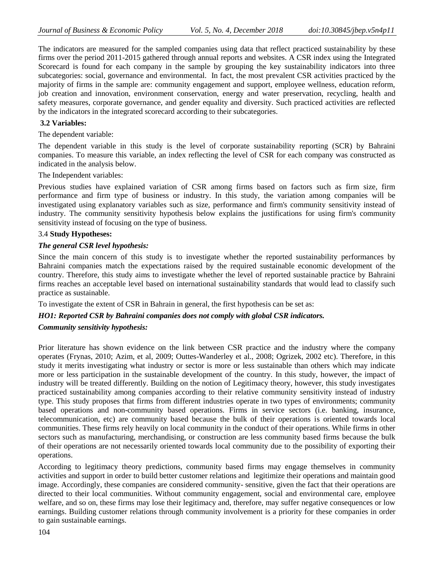The indicators are measured for the sampled companies using data that reflect practiced sustainability by these firms over the period 2011-2015 gathered through annual reports and websites. A CSR index using the Integrated Scorecard is found for each company in the sample by grouping the key sustainability indicators into three subcategories: social, governance and environmental. In fact, the most prevalent CSR activities practiced by the majority of firms in the sample are: community engagement and support, employee wellness, education reform, job creation and innovation, environment conservation, energy and water preservation, recycling, health and safety measures, corporate governance, and gender equality and diversity. Such practiced activities are reflected by the indicators in the integrated scorecard according to their subcategories.

#### **3.2 Variables:**

The dependent variable:

The dependent variable in this study is the level of corporate sustainability reporting (SCR) by Bahraini companies. To measure this variable, an index reflecting the level of CSR for each company was constructed as indicated in the analysis below.

The Independent variables:

Previous studies have explained variation of CSR among firms based on factors such as firm size, firm performance and firm type of business or industry. In this study, the variation among companies will be investigated using explanatory variables such as size, performance and firm's community sensitivity instead of industry. The community sensitivity hypothesis below explains the justifications for using firm's community sensitivity instead of focusing on the type of business.

## 3.4 **Study Hypotheses:**

#### *The general CSR level hypothesis:*

Since the main concern of this study is to investigate whether the reported sustainability performances by Bahraini companies match the expectations raised by the required sustainable economic development of the country. Therefore, this study aims to investigate whether the level of reported sustainable practice by Bahraini firms reaches an acceptable level based on international sustainability standards that would lead to classify such practice as sustainable.

To investigate the extent of CSR in Bahrain in general, the first hypothesis can be set as:

### *HO1: Reported CSR by Bahraini companies does not comply with global CSR indicators.*

#### *Community sensitivity hypothesis:*

Prior literature has shown evidence on the link between CSR practice and the industry where the company operates (Frynas, 2010; Azim, et al, 2009; Outtes-Wanderley et al., 2008; Ogrizek, 2002 etc). Therefore, in this study it merits investigating what industry or sector is more or less sustainable than others which may indicate more or less participation in the sustainable development of the country. In this study, however, the impact of industry will be treated differently. Building on the notion of Legitimacy theory, however, this study investigates practiced sustainability among companies according to their relative community sensitivity instead of industry type. This study proposes that firms from different industries operate in two types of environments; community based operations and non-community based operations. Firms in service sectors (i.e. banking, insurance, telecommunication, etc) are community based because the bulk of their operations is oriented towards local communities. These firms rely heavily on local community in the conduct of their operations. While firms in other sectors such as manufacturing, merchandising, or construction are less community based firms because the bulk of their operations are not necessarily oriented towards local community due to the possibility of exporting their operations.

According to legitimacy theory predictions, community based firms may engage themselves in community activities and support in order to build better customer relations and legitimize their operations and maintain good image. Accordingly, these companies are considered community- sensitive, given the fact that their operations are directed to their local communities. Without community engagement, social and environmental care, employee welfare, and so on, these firms may lose their legitimacy and, therefore, may suffer negative consequences or low earnings. Building customer relations through community involvement is a priority for these companies in order to gain sustainable earnings.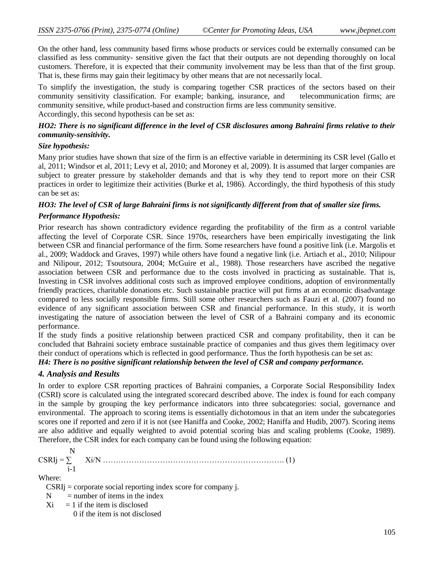On the other hand, less community based firms whose products or services could be externally consumed can be classified as less community- sensitive given the fact that their outputs are not depending thoroughly on local customers. Therefore, it is expected that their community involvement may be less than that of the first group. That is, these firms may gain their legitimacy by other means that are not necessarily local.

To simplify the investigation, the study is comparing together CSR practices of the sectors based on their community sensitivity classification. For example; banking, insurance, and telecommunication firms; are community sensitive, while product-based and construction firms are less community sensitive. Accordingly, this second hypothesis can be set as:

## *HO2: There is no significant difference in the level of CSR disclosures among Bahraini firms relative to their community-sensitivity.*

## *Size hypothesis:*

Many prior studies have shown that size of the firm is an effective variable in determining its CSR level (Gallo et al, 2011; Windsor et al, 2011; Levy et al, 2010; and Moroney et al, 2009). It is assumed that larger companies are subject to greater pressure by stakeholder demands and that is why they tend to report more on their CSR practices in order to legitimize their activities (Burke et al, 1986). Accordingly, the third hypothesis of this study can be set as:

# *HO3: The level of CSR of large Bahraini firms is not significantly different from that of smaller size firms. Performance Hypothesis:*

Prior research has shown contradictory evidence regarding the profitability of the firm as a control variable affecting the level of Corporate CSR. Since 1970s, researchers have been empirically investigating the link between CSR and financial performance of the firm. Some researchers have found a positive link (i.e. Margolis et al., 2009; Waddock and Graves, 1997) while others have found a negative link (i.e. Artiach et al., 2010; Nilipour and Nilipour, 2012; Tsoutsoura, 2004; McGuire et al., 1988). Those researchers have ascribed the negative association between CSR and performance due to the costs involved in practicing as sustainable. That is, Investing in CSR involves additional costs such as improved employee conditions, adoption of environmentally friendly practices, charitable donations etc. Such sustainable practice will put firms at an economic disadvantage compared to less socially responsible firms. Still some other researchers such as Fauzi et al. (2007) found no evidence of any significant association between CSR and financial performance. In this study, it is worth investigating the nature of association between the level of CSR of a Bahraini company and its economic performance.

If the study finds a positive relationship between practiced CSR and company profitability, then it can be concluded that Bahraini society embrace sustainable practice of companies and thus gives them legitimacy over their conduct of operations which is reflected in good performance. Thus the forth hypothesis can be set as:

# *H4: There is no positive significant relationship between the level of CSR and company performance.*

## *4. Analysis and Results*

In order to explore CSR reporting practices of Bahraini companies, a Corporate Social Responsibility Index (CSRI) score is calculated using the integrated scorecard described above. The index is found for each company in the sample by grouping the key performance indicators into three subcategories: social, governance and environmental. The approach to scoring items is essentially dichotomous in that an item under the subcategories scores one if reported and zero if it is not (see Haniffa and Cooke, 2002; Haniffa and Hudib, 2007). Scoring items are also additive and equally weighted to avoid potential scoring bias and scaling problems (Cooke, 1989). Therefore, the CSR index for each company can be found using the following equation:

$$
CSRIj = \sum_{i=1}^{N} Xi/N \dots (1)
$$

Where:

CSRIj = corporate social reporting index score for company j.

 $N =$  number of items in the index

 $Xi = 1$  if the item is disclosed

0 if the item is not disclosed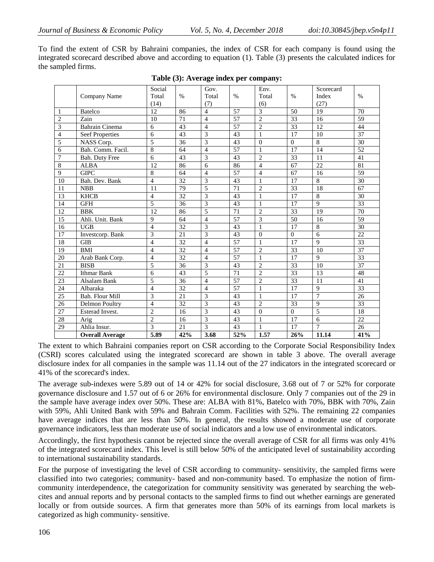To find the extent of CSR by Bahraini companies, the index of CSR for each company is found using the integrated scorecard described above and according to equation (1). Table (3) presents the calculated indices for the sampled firms.

|                |                        | Social                   |                 | Gov.           |                 | Env.           |                 | Scorecard      |                 |
|----------------|------------------------|--------------------------|-----------------|----------------|-----------------|----------------|-----------------|----------------|-----------------|
|                | Company Name           | Total                    | $\%$            | Total          | $\%$            | Total          | $\%$            | Index          | $\%$            |
|                |                        | (14)                     |                 | (7)            |                 | (6)            |                 | (27)           |                 |
| $\mathbf{1}$   | Batelco                | 12                       | 86              | $\overline{4}$ | 57              | 3              | 50              | 19             | 70              |
| $\overline{c}$ | Zain                   | 10                       | 71              | $\overline{4}$ | $\overline{57}$ | $\overline{2}$ | 33              | 16             | 59              |
| $\overline{3}$ | <b>Bahrain Cinema</b>  | 6                        | 43              | $\overline{4}$ | 57              | $\overline{2}$ | 33              | 12             | 44              |
| $\overline{4}$ | <b>Seef Properties</b> | 6                        | 43              | 3              | 43              | 1              | 17              | 10             | 37              |
| 5              | NASS Corp.             | 5                        | 36              | 3              | 43              | $\Omega$       | $\Omega$        | 8              | 30              |
| 6              | Bah. Comm. Facil.      | 8                        | 64              | $\overline{4}$ | 57              | 1              | 17              | 14             | 52              |
| $\tau$         | Bah. Duty Free         | 6                        | 43              | 3              | 43              | $\overline{2}$ | 33              | 11             | 41              |
| $8\,$          | <b>ALBA</b>            | 12                       | 86              | 6              | 86              | $\overline{4}$ | 67              | 22             | 81              |
| 9              | <b>GIPC</b>            | 8                        | 64              | $\overline{4}$ | 57              | $\overline{4}$ | 67              | 16             | 59              |
| 10             | Bah. Dev. Bank         | $\overline{4}$           | 32              | 3              | $\overline{43}$ | $\mathbf{1}$   | 17              | 8              | 30              |
| 11             | <b>NBB</b>             | 11                       | 79              | 5              | 71              | $\overline{2}$ | 33              | 18             | 67              |
| 13             | <b>KHCB</b>            | $\overline{4}$           | 32              | 3              | 43              | $\mathbf{1}$   | 17              | 8              | 30              |
| 14             | <b>GFH</b>             | 5                        | 36              | 3              | 43              | $\mathbf{1}$   | 17              | 9              | 33              |
| 12             | <b>BBK</b>             | 12                       | 86              | 5              | 71              | $\overline{2}$ | 33              | 19             | 70              |
| 15             | Ahli. Unit. Bank       | 9                        | 64              | $\overline{4}$ | 57              | 3              | 50              | 16             | 59              |
| 16             | <b>UGB</b>             | $\overline{4}$           | 32              | 3              | 43              | $\mathbf{1}$   | 17              | 8              | 30              |
| 17             | Investcorp. Bank       | 3                        | 21              | 3              | 43              | $\theta$       | $\Omega$        | 6              | 22              |
| 18             | <b>GIB</b>             | $\overline{\mathcal{L}}$ | 32              | $\overline{4}$ | 57              | $\mathbf{1}$   | 17              | 9              | $\overline{33}$ |
| 19             | <b>BMI</b>             | $\overline{4}$           | 32              | $\overline{4}$ | 57              | $\overline{2}$ | 33              | 10             | $\overline{37}$ |
| 20             | Arab Bank Corp.        | $\overline{\mathcal{L}}$ | $\overline{32}$ | $\overline{4}$ | 57              | $\mathbf{1}$   | 17              | $\mathbf{Q}$   | 33              |
| 21             | <b>BISB</b>            | 5                        | $\overline{36}$ | 3              | 43              | $\overline{2}$ | $\overline{33}$ | 10             | 37              |
| 22             | <b>Ithmar Bank</b>     | 6                        | 43              | 5              | 71              | $\overline{2}$ | 33              | 13             | 48              |
| 23             | Alsalam Bank           | 5                        | 36              | $\overline{4}$ | 57              | $\overline{2}$ | 33              | 11             | 41              |
| 24             | Albaraka               | $\overline{4}$           | 32              | $\overline{4}$ | 57              | $\mathbf{1}$   | 17              | 9              | 33              |
| 25             | Bah. Flour Mill        | 3                        | 21              | 3              | 43              | $\mathbf{1}$   | 17              | 7              | 26              |
| 26             | <b>Delmon Poultry</b>  | $\overline{\mathcal{L}}$ | 32              | 3              | 43              | $\overline{2}$ | 33              | 9              | 33              |
| 27             | Esterad Invest.        | $\overline{2}$           | 16              | 3              | 43              | $\Omega$       | $\Omega$        | 5              | 18              |
| 28             | Arig                   | $\overline{2}$           | 16              | 3              | 43              | $\mathbf{1}$   | 17              | 6              | 22              |
| 29             | Ahlia Insur.           | 3                        | 21              | 3              | 43              | $\mathbf{1}$   | 17              | $\overline{7}$ | 26              |
|                | <b>Overall Average</b> | 5.89                     | 42%             | 3.68           | 52%             | 1.57           | 26%             | 11.14          | 41%             |

#### **Table (3): Average index per company:**

The extent to which Bahraini companies report on CSR according to the Corporate Social Responsibility Index (CSRI) scores calculated using the integrated scorecard are shown in table 3 above. The overall average disclosure index for all companies in the sample was 11.14 out of the 27 indicators in the integrated scorecard or 41% of the scorecard's index.

The average sub-indexes were 5.89 out of 14 or 42% for social disclosure, 3.68 out of 7 or 52% for corporate governance disclosure and 1.57 out of 6 or 26% for environmental disclosure. Only 7 companies out of the 29 in the sample have average index over 50%. These are: ALBA with 81%, Batelco with 70%, BBK with 70%, Zain with 59%, Ahli United Bank with 59% and Bahrain Comm. Facilities with 52%. The remaining 22 companies have average indices that are less than 50%. In general, the results showed a moderate use of corporate governance indicators, less than moderate use of social indicators and a low use of environmental indicators.

Accordingly, the first hypothesis cannot be rejected since the overall average of CSR for all firms was only 41% of the integrated scorecard index. This level is still below 50% of the anticipated level of sustainability according to international sustainability standards.

For the purpose of investigating the level of CSR according to community- sensitivity, the sampled firms were classified into two categories; community- based and non-community based. To emphasize the notion of firmcommunity interdependence, the categorization for community sensitivity was generated by searching the webcites and annual reports and by personal contacts to the sampled firms to find out whether earnings are generated locally or from outside sources. A firm that generates more than 50% of its earnings from local markets is categorized as high community- sensitive.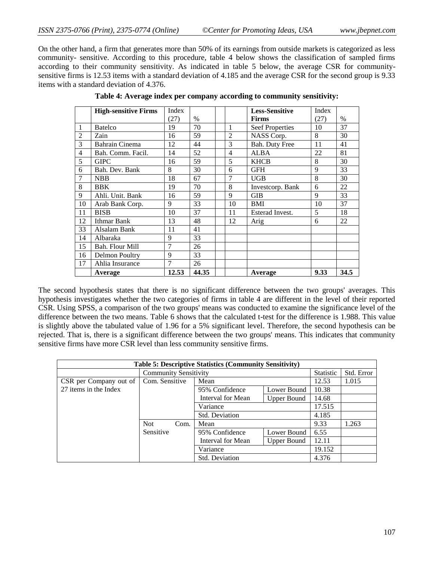On the other hand, a firm that generates more than 50% of its earnings from outside markets is categorized as less community- sensitive. According to this procedure, table 4 below shows the classification of sampled firms according to their community sensitivity. As indicated in table 5 below, the average CSR for communitysensitive firms is 12.53 items with a standard deviation of 4.185 and the average CSR for the second group is 9.33 items with a standard deviation of 4.376.

|    | <b>High-sensitive Firms</b> | Index          |       |                          | <b>Less-Sensitive</b>  | Index |      |
|----|-----------------------------|----------------|-------|--------------------------|------------------------|-------|------|
|    |                             | (27)           | $\%$  |                          | <b>Firms</b>           | (27)  | $\%$ |
| 1  | <b>Batelco</b>              | 19             | 70    | 1                        | <b>Seef Properties</b> | 10    | 37   |
| 2  | Zain                        | 16             | 59    | $\overline{c}$           | NASS Corp.             | 8     | 30   |
| 3  | <b>Bahrain Cinema</b>       | 12             | 44    | 3                        | Bah. Duty Free         | 11    | 41   |
| 4  | Bah. Comm. Facil.           | 14             | 52    | $\overline{\mathcal{L}}$ | <b>ALBA</b>            | 22    | 81   |
| 5  | <b>GIPC</b>                 | 16             | 59    | 5                        | <b>KHCB</b>            | 8     | 30   |
| 6  | Bah, Dev. Bank              | 8              | 30    | 6                        | <b>GFH</b>             | 9     | 33   |
| 7  | <b>NBB</b>                  | 18             | 67    | 7                        | <b>UGB</b>             | 8     | 30   |
| 8  | <b>BBK</b>                  | 19             | 70    | 8                        | Investcorp. Bank       | 6     | 22   |
| 9  | Ahli. Unit. Bank            | 16             | 59    | 9                        | <b>GIB</b>             | 9     | 33   |
| 10 | Arab Bank Corp.             | 9              | 33    | 10                       | <b>BMI</b>             | 10    | 37   |
| 11 | <b>BISB</b>                 | 10             | 37    | 11                       | <b>Esterad Invest.</b> | 5     | 18   |
| 12 | Ithmar Bank                 | 13             | 48    | 12                       | Arig                   | 6     | 22   |
| 33 | Alsalam Bank                | 11             | 41    |                          |                        |       |      |
| 14 | Albaraka                    | 9              | 33    |                          |                        |       |      |
| 15 | Bah. Flour Mill             | $\overline{7}$ | 26    |                          |                        |       |      |
| 16 | Delmon Poultry              | 9              | 33    |                          |                        |       |      |
| 17 | Ahlia Insurance             | 7              | 26    |                          |                        |       |      |
|    | Average                     | 12.53          | 44.35 |                          | Average                | 9.33  | 34.5 |

**Table 4: Average index per company according to community sensitivity:**

The second hypothesis states that there is no significant difference between the two groups' averages. This hypothesis investigates whether the two categories of firms in table 4 are different in the level of their reported CSR. Using SPSS, a comparison of the two groups' means was conducted to examine the significance level of the difference between the two means. Table 6 shows that the calculated t-test for the difference is 1.988. This value is slightly above the tabulated value of 1.96 for a 5% significant level. Therefore, the second hypothesis can be rejected. That is, there is a significant difference between the two groups' means. This indicates that community sensitive firms have more CSR level than less community sensitive firms.

| <b>Table 5: Descriptive Statistics (Community Sensitivity)</b> |                              |                       |                |                    |                  |            |  |  |  |  |  |
|----------------------------------------------------------------|------------------------------|-----------------------|----------------|--------------------|------------------|------------|--|--|--|--|--|
|                                                                | <b>Community Sensitivity</b> |                       |                |                    | <b>Statistic</b> | Std. Error |  |  |  |  |  |
| CSR per Company out of                                         | Com. Sensitive               | Mean                  |                |                    | 12.53            | 1.015      |  |  |  |  |  |
| 27 items in the Index                                          |                              | 95% Confidence        |                | Lower Bound        | 10.38            |            |  |  |  |  |  |
|                                                                |                              | Interval for Mean     |                | <b>Upper Bound</b> | 14.68            |            |  |  |  |  |  |
|                                                                |                              | Variance              |                |                    | 17.515           |            |  |  |  |  |  |
|                                                                |                              |                       | Std. Deviation |                    | 4.185            |            |  |  |  |  |  |
|                                                                | Not.<br>Com.                 | Mean                  |                |                    | 9.33             | 1.263      |  |  |  |  |  |
|                                                                | Sensitive                    | 95% Confidence        |                | Lower Bound        | 6.55             |            |  |  |  |  |  |
|                                                                |                              | Interval for Mean     |                | <b>Upper Bound</b> | 12.11            |            |  |  |  |  |  |
|                                                                |                              | Variance              |                |                    | 19.152           |            |  |  |  |  |  |
|                                                                |                              | <b>Std. Deviation</b> |                |                    | 4.376            |            |  |  |  |  |  |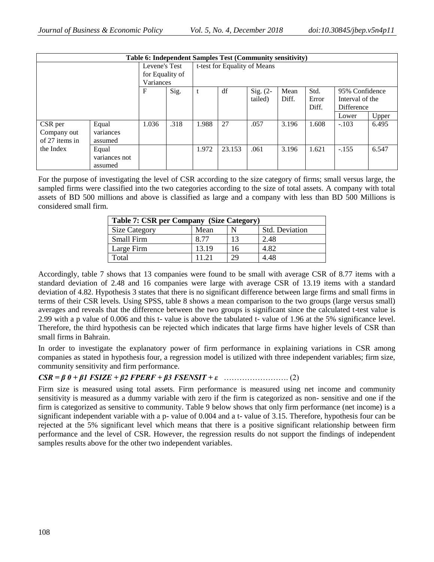|                |                 |           |      |       |        | Table 6: Independent Samples Test (Community sensitivity) |       |       |                   |       |
|----------------|-----------------|-----------|------|-------|--------|-----------------------------------------------------------|-------|-------|-------------------|-------|
| Levene's Test  |                 |           |      |       |        | t-test for Equality of Means                              |       |       |                   |       |
|                | for Equality of |           |      |       |        |                                                           |       |       |                   |       |
|                |                 | Variances |      |       |        |                                                           |       |       |                   |       |
|                |                 | F         | Sig. | t     | df     | Sig. $(2-$                                                | Mean  | Std.  | 95% Confidence    |       |
|                |                 |           |      |       |        | tailed)                                                   | Diff. | Error | Interval of the   |       |
|                |                 |           |      |       |        |                                                           |       | Diff. | <b>Difference</b> |       |
|                |                 |           |      |       |        |                                                           |       |       | Lower             | Upper |
| CSR per        | Equal           | 1.036     | .318 | 1.988 | 27     | .057                                                      | 3.196 | 1.608 | $-.103$           | 6.495 |
| Company out    | variances       |           |      |       |        |                                                           |       |       |                   |       |
| of 27 items in | assumed         |           |      |       |        |                                                           |       |       |                   |       |
| the Index      | Equal           |           |      | 1.972 | 23.153 | .061                                                      | 3.196 | 1.621 | $-.155$           | 6.547 |
|                | variances not   |           |      |       |        |                                                           |       |       |                   |       |
|                | assumed         |           |      |       |        |                                                           |       |       |                   |       |

For the purpose of investigating the level of CSR according to the size category of firms; small versus large, the sampled firms were classified into the two categories according to the size of total assets. A company with total assets of BD 500 millions and above is classified as large and a company with less than BD 500 Millions is considered small firm.

| Table 7: CSR per Company (Size Category) |       |    |                       |  |  |  |  |  |  |
|------------------------------------------|-------|----|-----------------------|--|--|--|--|--|--|
| <b>Size Category</b>                     | Mean  |    | <b>Std.</b> Deviation |  |  |  |  |  |  |
| Small Firm                               |       | 13 | 2.48                  |  |  |  |  |  |  |
| Large Firm                               | 13.19 | 16 | 4.82                  |  |  |  |  |  |  |
| Total                                    | 11 21 | 29 | 4.48                  |  |  |  |  |  |  |

Accordingly, table 7 shows that 13 companies were found to be small with average CSR of 8.77 items with a standard deviation of 2.48 and 16 companies were large with average CSR of 13.19 items with a standard deviation of 4.82. Hypothesis 3 states that there is no significant difference between large firms and small firms in terms of their CSR levels. Using SPSS, table 8 shows a mean comparison to the two groups (large versus small) averages and reveals that the difference between the two groups is significant since the calculated t-test value is 2.99 with a p value of 0.006 and this t- value is above the tabulated t- value of 1.96 at the 5% significance level. Therefore, the third hypothesis can be rejected which indicates that large firms have higher levels of CSR than small firms in Bahrain.

In order to investigate the explanatory power of firm performance in explaining variations in CSR among companies as stated in hypothesis four, a regression model is utilized with three independent variables; firm size, community sensitivity and firm performance.

## *CSR = β 0 + β1 FSIZE + β2 FPERF + β3 FSENSIT + ε* ……………………. (2)

Firm size is measured using total assets. Firm performance is measured using net income and community sensitivity is measured as a dummy variable with zero if the firm is categorized as non- sensitive and one if the firm is categorized as sensitive to community. Table 9 below shows that only firm performance (net income) is a significant independent variable with a p- value of 0.004 and a t- value of 3.15. Therefore, hypothesis four can be rejected at the 5% significant level which means that there is a positive significant relationship between firm performance and the level of CSR. However, the regression results do not support the findings of independent samples results above for the other two independent variables.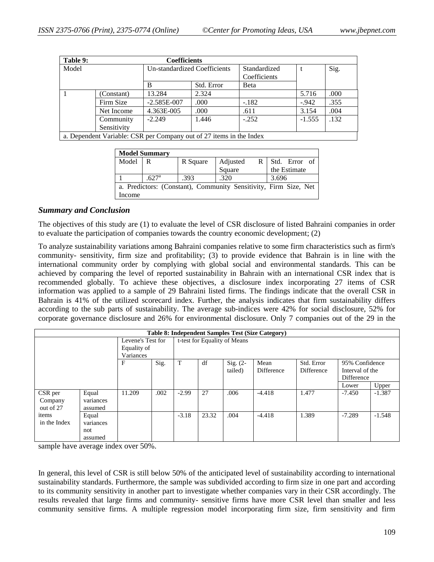| Table 9: |                                                                     | <b>Coefficients</b>          |            |                              |          |      |
|----------|---------------------------------------------------------------------|------------------------------|------------|------------------------------|----------|------|
| Model    |                                                                     | Un-standardized Coefficients |            | Standardized<br>Coefficients |          | Sig. |
|          |                                                                     | B                            | Std. Error | <b>B</b> eta                 |          |      |
|          | (Constant)                                                          | 13.284                       | 2.324      |                              | 5.716    | .000 |
|          | Firm Size                                                           | $-2.585E-007$                | .000       | $-.182$                      | $-942$   | .355 |
|          | Net Income                                                          | 4.363E-005                   | .000       | .611                         | 3.154    | .004 |
|          | Community                                                           | $-2.249$                     | 1.446      | $-.252$                      | $-1.555$ | .132 |
|          | Sensitivity                                                         |                              |            |                              |          |      |
|          | a. Dependent Variable: CSR per Company out of 27 items in the Index |                              |            |                              |          |      |

| <b>Model Summary</b>                                             |                   |          |                            |               |  |  |  |  |  |  |  |
|------------------------------------------------------------------|-------------------|----------|----------------------------|---------------|--|--|--|--|--|--|--|
| Model                                                            |                   | R Square | Adjusted<br>R <sub>1</sub> | Std. Error of |  |  |  |  |  |  |  |
|                                                                  |                   |          | Square                     | the Estimate  |  |  |  |  |  |  |  |
|                                                                  | .627 <sup>a</sup> | .393     | .320                       | 3.696         |  |  |  |  |  |  |  |
| a. Predictors: (Constant), Community Sensitivity, Firm Size, Net |                   |          |                            |               |  |  |  |  |  |  |  |
| Income                                                           |                   |          |                            |               |  |  |  |  |  |  |  |

#### *Summary and Conclusion*

The objectives of this study are (1) to evaluate the level of CSR disclosure of listed Bahraini companies in order to evaluate the participation of companies towards the country economic development; (2)

To analyze sustainability variations among Bahraini companies relative to some firm characteristics such as firm's community- sensitivity, firm size and profitability; (3) to provide evidence that Bahrain is in line with the international community order by complying with global social and environmental standards. This can be achieved by comparing the level of reported sustainability in Bahrain with an international CSR index that is recommended globally. To achieve these objectives, a disclosure index incorporating 27 items of CSR information was applied to a sample of 29 Bahraini listed firms. The findings indicate that the overall CSR in Bahrain is 41% of the utilized scorecard index. Further, the analysis indicates that firm sustainability differs according to the sub parts of sustainability. The average sub-indices were 42% for social disclosure, 52% for corporate governance disclosure and 26% for environmental disclosure. Only 7 companies out of the 29 in the

|              | <b>Table 8: Independent Samples Test (Size Category)</b> |                              |      |         |       |            |            |                   |                 |          |  |
|--------------|----------------------------------------------------------|------------------------------|------|---------|-------|------------|------------|-------------------|-----------------|----------|--|
|              |                                                          | t-test for Equality of Means |      |         |       |            |            |                   |                 |          |  |
| Equality of  |                                                          |                              |      |         |       |            |            |                   |                 |          |  |
|              |                                                          | Variances                    |      |         |       |            |            |                   |                 |          |  |
|              |                                                          | F                            | Sig. | T       | df    | Sig. $(2-$ | Mean       | Std. Error        | 95% Confidence  |          |  |
|              |                                                          |                              |      |         |       | tailed)    | Difference | <b>Difference</b> | Interval of the |          |  |
|              |                                                          |                              |      |         |       |            |            |                   | Difference      |          |  |
|              |                                                          |                              |      |         |       |            |            |                   | Lower           | Upper    |  |
| CSR per      | Equal                                                    | 11.209                       | .002 | $-2.99$ | 27    | .006       | $-4.418$   | 1.477             | $-7.450$        | $-1.387$ |  |
| Company      | variances                                                |                              |      |         |       |            |            |                   |                 |          |  |
| out of 27    | assumed                                                  |                              |      |         |       |            |            |                   |                 |          |  |
| items        | Equal                                                    |                              |      | $-3.18$ | 23.32 | .004       | $-4.418$   | 1.389             | $-7.289$        | $-1.548$ |  |
| in the Index | variances                                                |                              |      |         |       |            |            |                   |                 |          |  |
|              | not                                                      |                              |      |         |       |            |            |                   |                 |          |  |
|              | assumed                                                  |                              |      |         |       |            |            |                   |                 |          |  |

sample have average index over 50%.

In general, this level of CSR is still below 50% of the anticipated level of sustainability according to international sustainability standards. Furthermore, the sample was subdivided according to firm size in one part and according to its community sensitivity in another part to investigate whether companies vary in their CSR accordingly. The results revealed that large firms and community- sensitive firms have more CSR level than smaller and less community sensitive firms. A multiple regression model incorporating firm size, firm sensitivity and firm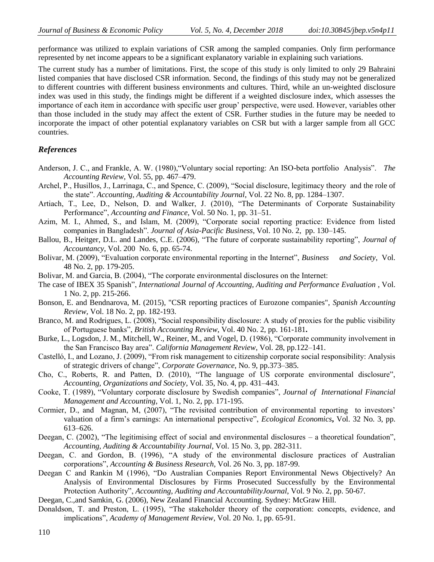performance was utilized to explain variations of CSR among the sampled companies. Only firm performance represented by net income appears to be a significant explanatory variable in explaining such variations.

The current study has a number of limitations. First, the scope of this study is only limited to only 29 Bahraini listed companies that have disclosed CSR information. Second, the findings of this study may not be generalized to different countries with different business environments and cultures. Third, while an un-weighted disclosure index was used in this study, the findings might be different if a weighted disclosure index, which assesses the importance of each item in accordance with specific user group' perspective, were used. However, variables other than those included in the study may affect the extent of CSR. Further studies in the future may be needed to incorporate the impact of other potential explanatory variables on CSR but with a larger sample from all GCC countries.

#### *References*

- Anderson, J. C., and Frankle, A. W. (1980), "Voluntary social reporting: An ISO-beta portfolio Analysis". The *Accounting Review*, Vol. 55, pp. 467–479.
- Archel, P., Husillos, J., Larrinaga, C., and Spence, C. (2009), "Social disclosure, legitimacy theory and the role of the state". *Accounting, Auditing & Accountability Journal*, Vol. 22 No. 8, pp. 1284–1307.
- Artiach, T., Lee, D., Nelson, D. and Walker, J. (2010), "The Determinants of Corporate Sustainability Performance", *Accounting and Finance*, Vol. 50 No. 1, pp. 31–51.
- Azim, M. I., Ahmed, S., and Islam, M. (2009), "Corporate social reporting practice: Evidence from listed companies in Bangladesh". *Journal of Asia-Pacific Business*, Vol. 10 No. 2, pp. 130–145.
- Ballou, B., Heitger, D.L. and Landes, C.E. (2006), "The future of corporate sustainability reporting", *Journal of Accountancy*, Vol. 200 No. 6, pp. 65-74.
- Bolivar, M. (2009), "Evaluation corporate environmental reporting in the Internet", *Business and Society*, Vol. 48 No. 2, pp. 179-205.
- Bolivar, M. and Garcia, B. (2004), "The corporate environmental disclosures on the Internet:
- The case of IBEX 35 Spanish", *International Journal of Accounting, Auditing and Performance Evaluation*, Vol. 1 No. 2, pp. 215-266.
- Bonson, E. and Bendnarova, M. (2015), "CSR reporting practices of Eurozone companies", *Spanish Accounting Review,* Vol. 18 No. 2, pp. 182-193.
- Branco, M. and Rodrigues, L. (2008), "Social responsibility disclosure: A study of proxies for the public visibility of Portuguese banks‖, *British Accounting Review*, Vol. 40 No. 2, pp. 161-181**.**
- Burke, L., Logsdon, J. M., Mitchell, W., Reiner, M., and Vogel, D. (1986), "Corporate community involvement in the San Francisco Bay area". *California Management Review*, Vol. 28, pp.122-141.
- Castelló, I., and Lozano, J. (2009), "From risk management to citizenship corporate social responsibility: Analysis of strategic drivers of change", *Corporate Governance*, No. 9, pp.373-385.
- Cho, C., Roberts, R. and Patten, D. (2010), "The language of US corporate environmental disclosure", *Accounting, Organizations and Society*, Vol. 35, No. 4, pp. 431–443.
- Cooke, T. (1989), "Voluntary corporate disclosure by Swedish companies", *Journal of International Financial Management and Accounting*, Vol. 1, No. 2, pp. 171-195.
- Cormier, D., and Magnan, M, (2007), "The revisited contribution of environmental reporting to investors' valuation of a firm's earnings: An international perspective", *Ecological Economics*, Vol. 32 No. 3, pp. 613–626.
- Deegan, C. (2002), "The legitimising effect of social and environmental disclosures a theoretical foundation", *Accounting, Auditing & Accountability Journal*, Vol. 15 No. 3, pp. 282-311.
- Deegan, C. and Gordon, B. (1996), "A study of the environmental disclosure practices of Australian corporations‖, *Accounting & Business Research*, Vol. 26 No. 3, pp. 187-99.
- Deegan C and Rankin M (1996), "Do Australian Companies Report Environmental News Objectively? An Analysis of Environmental Disclosures by Firms Prosecuted Successfully by the Environmental Protection Authority", *Accounting, Auditing and AccountabilityJournal*, Vol. 9 No. 2, pp. 50-67.
- Deegan, C.,and Samkin, G. (2006), New Zealand Financial Accounting. Sydney: McGraw Hill.
- Donaldson, T. and Preston, L. (1995), "The stakeholder theory of the corporation: concepts, evidence, and implications", *Academy of Management Review*, Vol. 20 No. 1, pp. 65-91.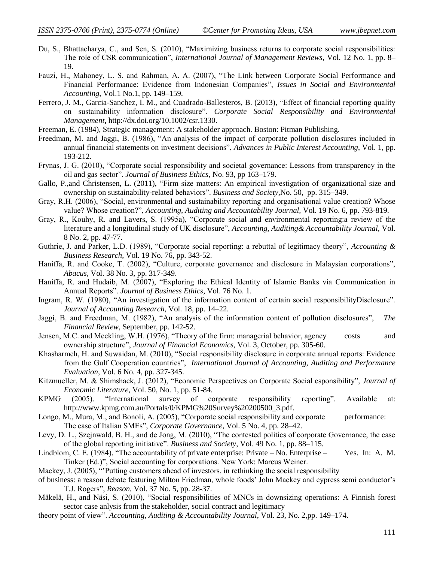- Du, S., Bhattacharya, C., and Sen, S. (2010), "Maximizing business returns to corporate social responsibilities: The role of CSR communication", *International Journal of Management Reviews*, Vol. 12 No. 1, pp. 8– 19.
- Fauzi, H., Mahoney, L. S. and Rahman, A. A. (2007), "The Link between Corporate Social Performance and Financial Performance: Evidence from Indonesian Companies‖, *Issues in Social and Environmental Accounting*, Vol.1 No.1, pp. 149–159.
- Ferrero, J. M., Garcia-Sanchez, I. M., and Cuadrado-Ballesteros, B. (2013), "Effect of financial reporting quality on sustainability information disclosure". *Corporate Social Responsibility and Environmental Management***,** [http://dx.doi.org/10.1002/csr.1330.](http://dx.doi.org/10.1002/csr.1330)
- Freeman, E. (1984), Strategic management: A stakeholder approach. Boston: Pitman Publishing.
- Freedman, M. and Jaggi, B. (1986), "An analysis of the impact of corporate pollution disclosures included in annual financial statements on investment decisions", *Advances in Public Interest Accounting*, Vol. 1, pp. 193-212.
- Frynas, J. G. (2010), "Corporate social responsibility and societal governance: Lessons from transparency in the oil and gas sector‖. *Journal of Business Ethics*, No. 93, pp 163–179.
- Gallo, P.,and Christensen, L. (2011), "Firm size matters: An empirical investigation of organizational size and ownership on sustainability-related behaviors‖. *Business and Society,*No. 50, pp. 315–349.
- Gray, R.H. (2006), "Social, environmental and sustainability reporting and organisational value creation? Whose value? Whose creation?", *Accounting, Auditing and Accountability Journal*, Vol. 19 No. 6, pp. 793-819.
- Gray, R., Kouhy, R. and Lavers, S. (1995a), "Corporate social and environmental reporting: a review of the literature and a longitudinal study of UK disclosure", *Accounting, Auditing & Accountability Journal*, Vol. 8 No. 2, pp. 47-77.
- Guthrie, J. and Parker, L.D. (1989), "Corporate social reporting: a rebuttal of legitimacy theory", *Accounting & Business Research*, Vol. 19 No. 76, pp. 343-52.
- Haniffa, R. and Cooke, T. (2002), "Culture, corporate governance and disclosure in Malaysian corporations", *Abacus*, Vol. 38 No. 3, pp. 317-349.
- Haniffa, R. and Hudaib, M. (2007), "Exploring the Ethical Identity of Islamic Banks via Communication in Annual Reports". *Journal of Business Ethics*, Vol. 76 No. 1.
- Ingram, R. W. (1980), "An investigation of the information content of certain social responsibilityDisclosure". *Journal of Accounting Research*, Vol. 18, pp. 14–22.
- Jaggi, B. and Freedman, M. (1982), "An analysis of the information content of pollution disclosures", The *Financial Review*, September, pp. 142-52.
- Jensen, M.C. and Meckling, W.H. (1976), "Theory of the firm: managerial behavior, agency costs and ownership structure", *Journal of Financial Economics*, Vol. 3, October, pp. 305-60.
- Khasharmeh, H. and Suwaidan, M. (2010), "Social responsibility disclosure in corporate annual reports: Evidence from the Gulf Cooperation countries", *International Journal of Accounting, Auditing and Performance Evaluation*, Vol. 6 No. 4, pp. 327-345.
- Kitzmueller, M. & Shimshack, J. (2012), "Economic Perspectives on Corporate Social esponsibility", *Journal of Economic Literature*, Vol. 50, No. 1, pp. 51-84.
- KPMG (2005). "International survey of corporate responsibility reporting". Available at: http://www.kpmg.com.au/Portals/0/KPMG%20Survey%20200500\_3.pdf.
- Longo, M., Mura, M., and Bonoli, A. (2005), "Corporate social responsibility and corporate performance: The case of Italian SMEs", *Corporate Governance*, Vol. 5 No. 4, pp. 28–42.
- Levy, D. L., Szejnwald, B. H., and de Jong, M. (2010), "The contested politics of corporate Governance, the case of the global reporting initiative". *Business and Society*, Vol. 49 No. 1, pp. 88–115.
- Lindblom, C. E. (1984), "The accountability of private enterprise: Private No. Enterprise Yes. In: A. M. Tinker (Ed.)", Social accounting for corporations. New York: Marcus Weiner.
- Mackey, J. (2005), "Putting customers ahead of investors, in rethinking the social responsibility
- of business: a reason debate featuring Milton Friedman, whole foods' John Mackey and cypress semi conductor's T.J. Rogers‖, *Reason,* Vol. 37 No. 5, pp. 28-37.
- Mäkelä, H., and Näsi, S. (2010), "Social responsibilities of MNCs in downsizing operations: A Finnish forest sector case anlysis from the stakeholder, social contract and legitimacy
- theory point of view‖. *Accounting, Auditing & Accountability Journal*, Vol. 23, No. 2,pp. 149–174.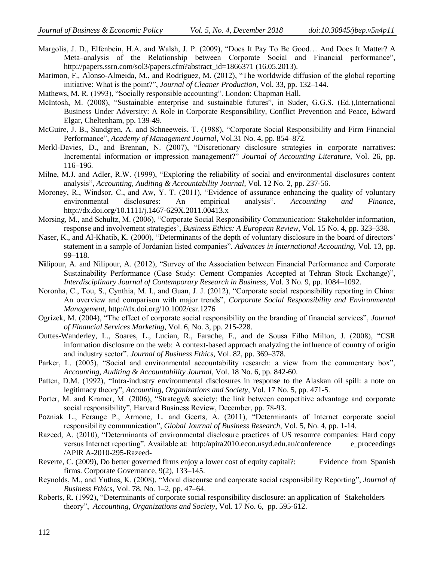- Margolis, J. D., Elfenbein, H.A. and Walsh, J. P. (2009), "Does It Pay To Be Good... And Does It Matter? A Meta–analysis of the Relationship between Corporate Social and Financial performance", [http://papers.ssrn.com/sol3/papers.cfm?abstract\\_id=1866371](http://papers.ssrn.com/sol3/papers.cfm?abstract_id=1866371) (16.05.2013).
- Marimon, F., Alonso-Almeida, M., and Rodríguez, M. (2012), "The worldwide diffusion of the global reporting initiative: What is the point?", *Journal of Cleaner Production*, Vol. 33, pp. 132–144.
- Mathews, M. R. (1993), "Socially responsible accounting". London: Chapman Hall.
- McIntosh, M. (2008), "Sustainable enterprise and sustainable futures", in Suder, G.G.S. (Ed.),International Business Under Adversity: A Role in Corporate Responsibility, Conflict Prevention and Peace, Edward Elgar, Cheltenham, pp. 139-49.
- McGuire, J. B., Sundgren, A. and Schneeweis, T. (1988), "Corporate Social Responsibility and Firm Financial Performance", *Academy of Management Journal*, Vol.31 No. 4, pp. 854–872.
- Merkl-Davies, D., and Brennan, N. (2007), "Discretionary disclosure strategies in corporate narratives: Incremental information or impression management?" *Journal of Accounting Literature*, Vol. 26, pp. 116–196.
- Milne, M.J. and Adler, R.W. (1999), "Exploring the reliability of social and environmental disclosures content analysis", *Accounting, Auditing & Accountability Journal*, Vol. 12 No. 2, pp. 237-56.
- Moroney, R., Windsor, C., and Aw, Y. T.  $(2011)$ , "Evidence of assurance enhancing the quality of voluntary environmental disclosures: An empirical analysis". Accounting and Finance, http://dx.doi.org/10.1111/j.1467-629X.2011.00413.x
- Morsing, M., and Schultz, M. (2006), "Corporate Social Responsibility Communication: Stakeholder information, response and involvement strategies', *Business Ethics: A European Review*, Vol. 15 No. 4, pp. 323–338.
- Naser, K., and Al-Khatib, K. (2000), "Determinants of the depth of voluntary disclosure in the board of directors' statement in a sample of Jordanian listed companies". *Advances in International Accounting*, Vol. 13, pp. 99–118.
- **Nilipour, A. and Nilipour, A. (2012), "Survey of the Association between Financial Performance and Corporate** Sustainability Performance (Case Study: Cement Companies Accepted at Tehran Stock Exchange)", *Interdisciplinary Journal of Contemporary Research in Business*, Vol. 3 No. 9, pp. 1084–1092.
- Noronha, C., Tou, S., Cynthia, M. I., and Guan, J. J. (2012), "Corporate social responsibility reporting in China: An overview and comparison with major trends", *Corporate Social Responsibility and Environmental Management*, http://dx.doi.org/10.1002/csr.1276
- Ogrizek, M. (2004), "The effect of corporate social responsibility on the branding of financial services", *Journal of Financial Services Marketing*, Vol. 6, No. 3, pp. 215-228.
- Outtes-Wanderley, L., Soares, L., Lucian, R., Farache, F., and de Sousa Filho Milton, J. (2008), "CSR information disclosure on the web: A context-based approach analyzing the influence of country of origin and industry sector". *Journal of Business Ethics*, Vol. 82, pp. 369–378.
- Parker, L. (2005), "Social and environmental accountability research: a view from the commentary box", *Accounting, Auditing & Accountability Journal*, Vol. 18 No. 6, pp. 842-60.
- Patten, D.M. (1992), "Intra-industry environmental disclosures in response to the Alaskan oil spill: a note on legitimacy theory", *Accounting, Organizations and Society*, Vol. 17 No. 5, pp. 471-5.
- Porter, M. and Kramer, M. (2006), "Strategy& society: the link between competitive advantage and corporate social responsibility", Harvard Business Review, December, pp. 78-93.
- Pozniak L., Ferauge P., Armone, L. and Geerts, A. (2011), "Determinants of Internet corporate social responsibility communication", *Global Journal of Business Research*, Vol. 5, No. 4, pp. 1-14.
- Razeed, A. (2010), "Determinants of environmental disclosure practices of US resource companies: Hard copy versus Internet reporting". Available at: http:/apira2010.econ.usyd.edu.au/conference e\_proceedings /APIR A-2010-295-Razeed-
- Reverte, C. (2009), Do better governed firms enjoy a lower cost of equity capital?: Evidence from Spanish firms. Corporate Governance, 9(2), 133–145.
- Reynolds, M., and Yuthas, K. (2008), "Moral discourse and corporate social responsibility Reporting", *Journal of Business Ethics*, Vol. 78, No. 1–2, pp. 47–64.
- Roberts, R. (1992), "Determinants of corporate social responsibility disclosure: an application of Stakeholders theory‖, *Accounting, Organizations and Society*, Vol. 17 No. 6, pp. 595-612.